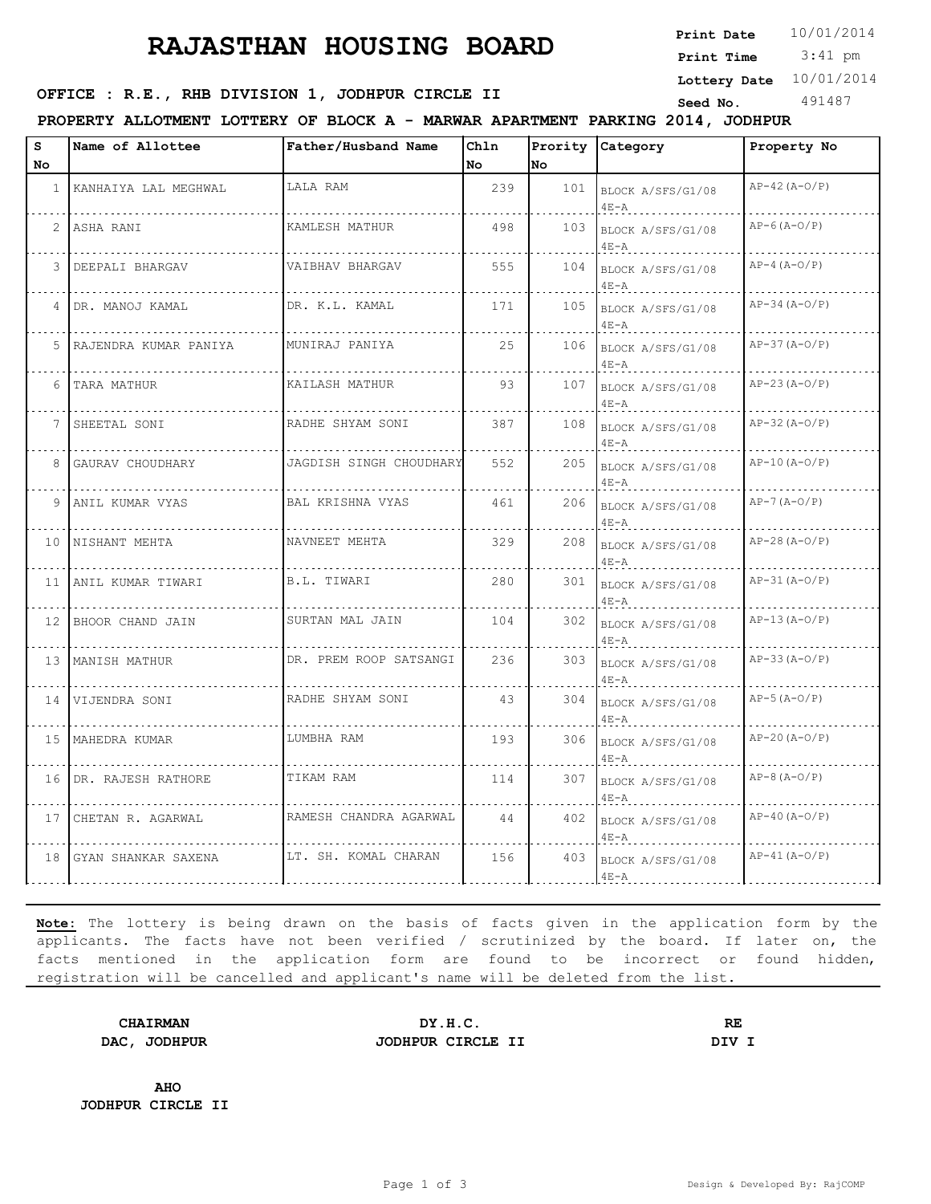# **RAJASTHAN HOUSING BOARD**

**Print Date**  $10/01/2014$ 

 3:41 pm **Print Time**

**Lottery Date** 10/01/2014

### **SEED OFFICE : R.E., RHB DIVISION 1, JODHPUR CIRCLE II** Seed No. 491487

**PROPERTY ALLOTMENT LOTTERY OF BLOCK A - MARWAR APARTMENT PARKING 2014, JODHPUR**

| s               | Name of Allottee          | Father/Husband Name     | Chln |     | Prority Category                  | Property No     |
|-----------------|---------------------------|-------------------------|------|-----|-----------------------------------|-----------------|
| No              |                           |                         | No   | No  |                                   |                 |
|                 | 1 KANHAIYA LAL MEGHWAL    | LALA RAM                | 239  |     | 101 BLOCK A/SFS/G1/08<br>$4E - A$ | $AP-42 (A-O/P)$ |
|                 | 2 ASHA RANI               | KAMLESH MATHUR          | 498  | 103 | BLOCK A/SFS/G1/08<br>$4E - A$     | $AP-6$ (A-O/P)  |
|                 | 3 DEEPALI BHARGAV         | VAIBHAV BHARGAV         | 555  | 104 | BLOCK A/SFS/G1/08<br>$4E - A$     | $AP-4 (A-O/P)$  |
| $4 \square$     | DR. MANOJ KAMAL           | DR. K.L. KAMAL          | 171  | 105 | BLOCK A/SFS/G1/08<br>$4E - A$     | $AP-34 (A-O/P)$ |
|                 | 5   RAJENDRA KUMAR PANIYA | MUNIRAJ PANIYA          | 25   | 106 | BLOCK A/SFS/G1/08<br>$4E - A$     | $AP-37 (A-O/P)$ |
| 6               | .<br>TARA MATHUR          | KAILASH MATHUR          | 93   | 107 | BLOCK A/SFS/G1/08<br>$4E - A$     | $AP-23 (A-O/P)$ |
| 7               | SHEETAL SONI              | RADHE SHYAM SONI        | 387  | 108 | BLOCK A/SFS/G1/08<br>$4E - A$     | $AP-32 (A-O/P)$ |
|                 | 8 GAURAV CHOUDHARY        | JAGDISH SINGH CHOUDHARY | 552  | 205 | BLOCK A/SFS/G1/08<br>$4E - A$     | $AP-10 (A-O/P)$ |
|                 | 9 ANIL KUMAR VYAS         | BAL KRISHNA VYAS        | 461  | 206 | BLOCK A/SFS/G1/08<br>$4E - A$     | $AP-7 (A-O/P)$  |
| 10 <sup>1</sup> | NISHANT MEHTA             | NAVNEET MEHTA           | 329  | 208 | BLOCK A/SFS/G1/08<br>$4E - A$     | $AP-28 (A-O/P)$ |
| 11              | ANIL KUMAR TIWARI         | B.L. TIWARI             | 280  | 301 | BLOCK A/SFS/G1/08<br>$4E - A$     | $AP-31 (A-O/P)$ |
|                 | 12 BHOOR CHAND JAIN       | SURTAN MAL JAIN         | 104  | 302 | BLOCK A/SFS/G1/08<br>$4E - A$     | $AP-13 (A-O/P)$ |
|                 | 13 MANISH MATHUR          | DR. PREM ROOP SATSANGI  | 236  |     | 303 BLOCK A/SFS/G1/08<br>$4E - A$ | $AP-33 (A-O/P)$ |
|                 | 14 VIJENDRA SONI          | RADHE SHYAM SONI        | 43   | 304 | BLOCK A/SFS/G1/08<br>$4E - A$     | $AP-5 (A-O/P)$  |
|                 | 15 MAHEDRA KUMAR          | LUMBHA RAM              | 193  | 306 | BLOCK A/SFS/G1/08<br>$4E - A$     | $AP-20 (A-O/P)$ |
|                 | 16 DR. RAJESH RATHORE     | TIKAM RAM               | 114  | 307 | BLOCK A/SFS/G1/08<br>$4E - A$     | $AP-8(A-O/P)$   |
| 17 <sup>1</sup> | CHETAN R. AGARWAL         | RAMESH CHANDRA AGARWAL  | 44   | 402 | BLOCK A/SFS/G1/08<br>$4E - A$     | $AP-40 (A-O/P)$ |
| 18              | GYAN SHANKAR SAXENA       | LT. SH. KOMAL CHARAN    | 156  | 403 | BLOCK A/SFS/G1/08<br>$4E - A$     | $AP-41 (A-O/P)$ |

**Note:** The lottery is being drawn on the basis of facts given in the application form by the applicants. The facts have not been verified / scrutinized by the board. If later on, the facts mentioned in the application form are found to be incorrect or found hidden, registration will be cancelled and applicant's name will be deleted from the list.

**CHAIRMAN DY.H.C. RE DAC, JODHPUR JODHPUR CIRCLE II DIV I**

**AHO JODHPUR CIRCLE II**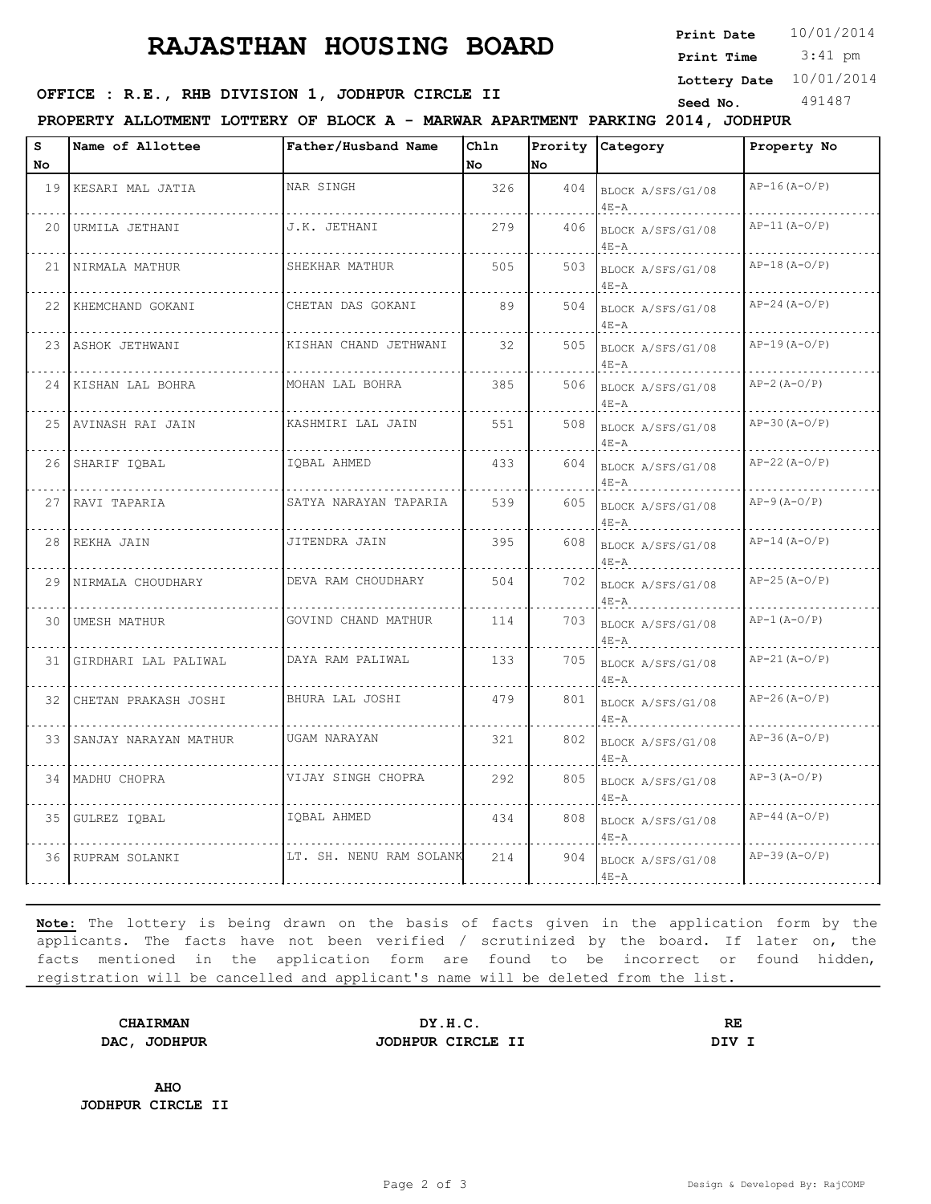# **RAJASTHAN HOUSING BOARD**

**Print Date**  $10/01/2014$ 

 3:41 pm **Print Time**

**Lottery Date** 10/01/2014

### **SEED OFFICE : R.E., RHB DIVISION 1, JODHPUR CIRCLE II** Seed No. 491487

**PROPERTY ALLOTMENT LOTTERY OF BLOCK A - MARWAR APARTMENT PARKING 2014, JODHPUR**

| s<br>No. | Name of Allottee         | Father/Husband Name     | Ch1n<br>No. | <b>No</b> | Prority Category              | Property No     |
|----------|--------------------------|-------------------------|-------------|-----------|-------------------------------|-----------------|
|          | 19 KESARI MAL JATIA      | NAR SINGH               | 326         | 404       | BLOCK A/SFS/G1/08<br>$4E - A$ | $AP-16(A-O/P)$  |
| 20       | URMILA JETHANI           | J.K. JETHANI            | 279         | 406       | BLOCK A/SFS/G1/08<br>$4E - A$ | $AP-11 (A-O/P)$ |
|          | 21 NIRMALA MATHUR        | SHEKHAR MATHUR          | 505         | 503       | BLOCK A/SFS/G1/08<br>$4E - A$ | $AP-18(A-O/P)$  |
|          | 22 KHEMCHAND GOKANI      | CHETAN DAS GOKANI       | 89          | 504       | BLOCK A/SFS/G1/08<br>$4E - A$ | $AP-24 (A-0/P)$ |
|          | 23 ASHOK JETHWANI        | KISHAN CHAND JETHWANI   | 32          | 505       | BLOCK A/SFS/G1/08<br>$4E - A$ | $AP-19(A-O/P)$  |
|          | 24 KISHAN LAL BOHRA      | MOHAN LAL BOHRA         | 385         | 506       | BLOCK A/SFS/G1/08<br>$4E - A$ | $AP-2(A-O/P)$   |
|          | 25 AVINASH RAI JAIN      | KASHMIRI LAL JAIN       | 551         | 508       | BLOCK A/SFS/G1/08<br>$4E - A$ | $AP-30 (A-O/P)$ |
|          | 26 SHARIF IQBAL          | IOBAL AHMED             | 433         | 604       | BLOCK A/SFS/G1/08<br>$4E - A$ | $AP-22(A-O/P)$  |
|          | 27 RAVI TAPARIA          | SATYA NARAYAN TAPARIA   | 539         | 605       | BLOCK A/SFS/G1/08<br>$4E - A$ | $AP-9 (A-O/P)$  |
| 28       | REKHA JAIN               | JITENDRA JAIN           | 395         | 608       | BLOCK A/SFS/G1/08<br>$4E - A$ | $AP-14 (A-O/P)$ |
| 29       | NIRMALA CHOUDHARY        | DEVA RAM CHOUDHARY      | 504         | 702       | BLOCK A/SFS/G1/08<br>$4E - A$ | $AP-25 (A-O/P)$ |
| 30       | UMESH MATHUR             | GOVIND CHAND MATHUR     | 114         | 703       | BLOCK A/SFS/G1/08<br>$4E - A$ | $AP-1 (A-O/P)$  |
| 31 I     | GIRDHARI LAL PALIWAL     | DAYA RAM PALIWAL        | 133         | 705       | BLOCK A/SFS/G1/08<br>$4E - A$ | $AP-21 (A-O/P)$ |
| 32       | CHETAN PRAKASH JOSHI     | BHURA LAL JOSHI         | 479         | 801       | BLOCK A/SFS/G1/08<br>$4E - A$ | $AP-26(A-O/P)$  |
|          | 33 SANJAY NARAYAN MATHUR | UGAM NARAYAN            | 321         | 802       | BLOCK A/SFS/G1/08<br>$4E - A$ | $AP-36(A-O/P)$  |
|          | 34 MADHU CHOPRA          | VIJAY SINGH CHOPRA      | 292         | 805       | BLOCK A/SFS/G1/08<br>$4E - A$ | $AP-3 (A-O/P)$  |
| 35       | GULREZ IQBAL             | IQBAL AHMED             | 434         | 808       | BLOCK A/SFS/G1/08<br>$4E - A$ | $AP-44 (A-O/P)$ |
|          | 36 RUPRAM SOLANKI        | LT. SH. NENU RAM SOLANK | 214         | 904       | BLOCK A/SFS/G1/08<br>$4E-A$   | $AP-39(A-O/P)$  |

**Note:** The lottery is being drawn on the basis of facts given in the application form by the applicants. The facts have not been verified / scrutinized by the board. If later on, the facts mentioned in the application form are found to be incorrect or found hidden, registration will be cancelled and applicant's name will be deleted from the list.

**CHAIRMAN DY.H.C. RE DAC, JODHPUR JODHPUR CIRCLE II DIV I**

**AHO JODHPUR CIRCLE II**